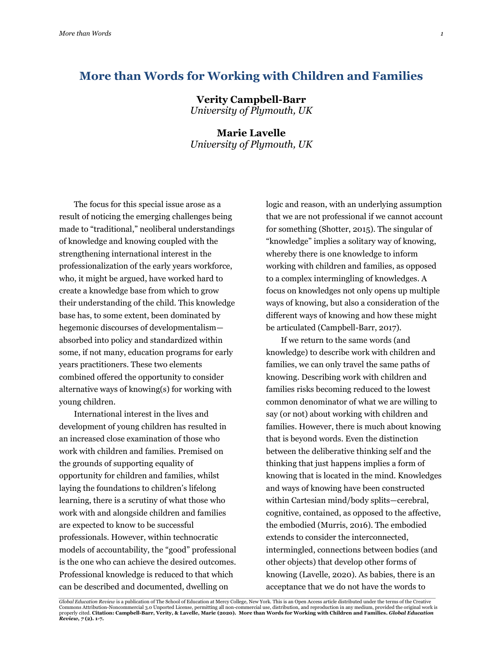# **More than Words for Working with Children and Families**

**Verity Campbell-Barr** *University of Plymouth, UK*

## **Marie Lavelle** *University of Plymouth, UK*

The focus for this special issue arose as a result of noticing the emerging challenges being made to "traditional," neoliberal understandings of knowledge and knowing coupled with the strengthening international interest in the professionalization of the early years workforce, who, it might be argued, have worked hard to create a knowledge base from which to grow their understanding of the child. This knowledge base has, to some extent, been dominated by hegemonic discourses of developmentalism absorbed into policy and standardized within some, if not many, education programs for early years practitioners. These two elements combined offered the opportunity to consider alternative ways of knowing(s) for working with young children.

International interest in the lives and development of young children has resulted in an increased close examination of those who work with children and families. Premised on the grounds of supporting equality of opportunity for children and families, whilst laying the foundations to children's lifelong learning, there is a scrutiny of what those who work with and alongside children and families are expected to know to be successful professionals. However, within technocratic models of accountability, the "good" professional is the one who can achieve the desired outcomes. Professional knowledge is reduced to that which can be described and documented, dwelling on

logic and reason, with an underlying assumption that we are not professional if we cannot account for something (Shotter, 2015). The singular of "knowledge" implies a solitary way of knowing, whereby there is one knowledge to inform working with children and families, as opposed to a complex intermingling of knowledges. A focus on knowledges not only opens up multiple ways of knowing, but also a consideration of the different ways of knowing and how these might be articulated (Campbell-Barr, 2017).

If we return to the same words (and knowledge) to describe work with children and families, we can only travel the same paths of knowing. Describing work with children and families risks becoming reduced to the lowest common denominator of what we are willing to say (or not) about working with children and families. However, there is much about knowing that is beyond words. Even the distinction between the deliberative thinking self and the thinking that just happens implies a form of knowing that is located in the mind. Knowledges and ways of knowing have been constructed within Cartesian mind/body splits—cerebral, cognitive, contained, as opposed to the affective, the embodied (Murris, 2016). The embodied extends to consider the interconnected, intermingled, connections between bodies (and other objects) that develop other forms of knowing (Lavelle, 2020). As babies, there is an acceptance that we do not have the words to

<sup>.&</sup>lt;br>Global Education Review is a publication of The School of Education at Mercy College, New York. This is an Open Access article distributed under the terms of the Creative Commons Attribution-Noncommercial 3.0 Unported License, permitting all non-commercial use, distribution, and reproduction in any medium, provided the original work is<br>properly cited. C**itation: Campbell-Barr, Verity, & Lav**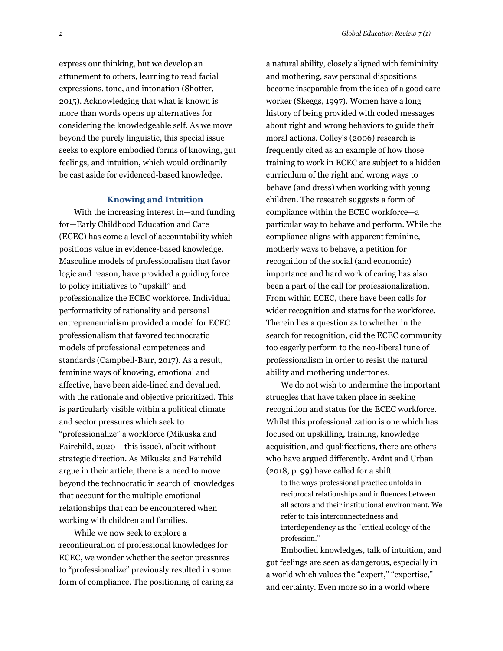express our thinking, but we develop an attunement to others, learning to read facial expressions, tone, and intonation (Shotter, 2015). Acknowledging that what is known is more than words opens up alternatives for considering the knowledgeable self. As we move beyond the purely linguistic, this special issue seeks to explore embodied forms of knowing, gut feelings, and intuition, which would ordinarily be cast aside for evidenced-based knowledge.

#### **Knowing and Intuition**

With the increasing interest in—and funding for—Early Childhood Education and Care (ECEC) has come a level of accountability which positions value in evidence-based knowledge. Masculine models of professionalism that favor logic and reason, have provided a guiding force to policy initiatives to "upskill" and professionalize the ECEC workforce. Individual performativity of rationality and personal entrepreneurialism provided a model for ECEC professionalism that favored technocratic models of professional competences and standards (Campbell-Barr, 2017). As a result, feminine ways of knowing, emotional and affective, have been side-lined and devalued, with the rationale and objective prioritized. This is particularly visible within a political climate and sector pressures which seek to "professionalize" a workforce (Mikuska and Fairchild, 2020 – this issue), albeit without strategic direction. As Mikuska and Fairchild argue in their article, there is a need to move beyond the technocratic in search of knowledges that account for the multiple emotional relationships that can be encountered when working with children and families.

While we now seek to explore a reconfiguration of professional knowledges for ECEC, we wonder whether the sector pressures to "professionalize" previously resulted in some form of compliance. The positioning of caring as a natural ability, closely aligned with femininity and mothering, saw personal dispositions become inseparable from the idea of a good care worker (Skeggs, 1997). Women have a long history of being provided with coded messages about right and wrong behaviors to guide their moral actions. Colley's (2006) research is frequently cited as an example of how those training to work in ECEC are subject to a hidden curriculum of the right and wrong ways to behave (and dress) when working with young children. The research suggests a form of compliance within the ECEC workforce—a particular way to behave and perform. While the compliance aligns with apparent feminine, motherly ways to behave, a petition for recognition of the social (and economic) importance and hard work of caring has also been a part of the call for professionalization. From within ECEC, there have been calls for wider recognition and status for the workforce. Therein lies a question as to whether in the search for recognition, did the ECEC community too eagerly perform to the neo-liberal tune of professionalism in order to resist the natural ability and mothering undertones.

We do not wish to undermine the important struggles that have taken place in seeking recognition and status for the ECEC workforce. Whilst this professionalization is one which has focused on upskilling, training, knowledge acquisition, and qualifications, there are others who have argued differently. Ardnt and Urban (2018, p. 99) have called for a shift

to the ways professional practice unfolds in reciprocal relationships and influences between all actors and their institutional environment. We refer to this interconnectedness and interdependency as the "critical ecology of the profession."

Embodied knowledges, talk of intuition, and gut feelings are seen as dangerous, especially in a world which values the "expert," "expertise," and certainty. Even more so in a world where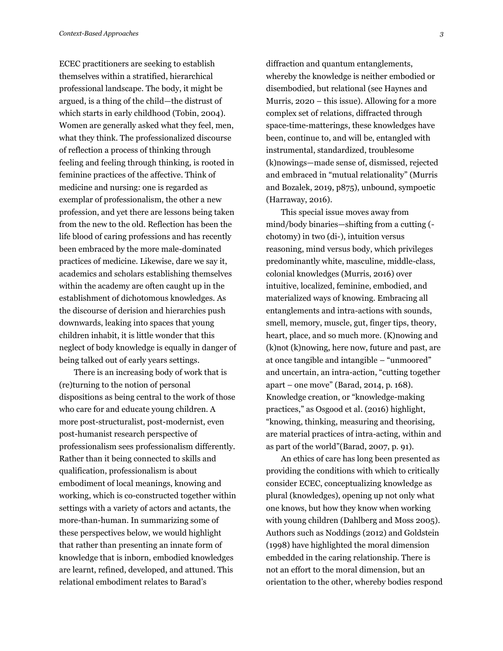ECEC practitioners are seeking to establish themselves within a stratified, hierarchical professional landscape. The body, it might be argued, is a thing of the child—the distrust of which starts in early childhood (Tobin, 2004). Women are generally asked what they feel, men, what they think. The professionalized discourse of reflection a process of thinking through feeling and feeling through thinking, is rooted in feminine practices of the affective. Think of medicine and nursing: one is regarded as exemplar of professionalism, the other a new profession, and yet there are lessons being taken from the new to the old. Reflection has been the life blood of caring professions and has recently been embraced by the more male-dominated practices of medicine. Likewise, dare we say it, academics and scholars establishing themselves within the academy are often caught up in the establishment of dichotomous knowledges. As the discourse of derision and hierarchies push downwards, leaking into spaces that young children inhabit, it is little wonder that this neglect of body knowledge is equally in danger of being talked out of early years settings.

There is an increasing body of work that is (re)turning to the notion of personal dispositions as being central to the work of those who care for and educate young children. A more post-structuralist, post-modernist, even post-humanist research perspective of professionalism sees professionalism differently. Rather than it being connected to skills and qualification, professionalism is about embodiment of local meanings, knowing and working, which is co-constructed together within settings with a variety of actors and actants, the more-than-human. In summarizing some of these perspectives below, we would highlight that rather than presenting an innate form of knowledge that is inborn, embodied knowledges are learnt, refined, developed, and attuned. This relational embodiment relates to Barad's

diffraction and quantum entanglements, whereby the knowledge is neither embodied or disembodied, but relational (see Haynes and Murris, 2020 – this issue). Allowing for a more complex set of relations, diffracted through space-time-matterings, these knowledges have been, continue to, and will be, entangled with instrumental, standardized, troublesome (k)nowings—made sense of, dismissed, rejected and embraced in "mutual relationality" (Murris and Bozalek, 2019, p875), unbound, sympoetic (Harraway, 2016).

This special issue moves away from mind/body binaries—shifting from a cutting ( chotomy) in two (di-), intuition versus reasoning, mind versus body, which privileges predominantly white, masculine, middle-class, colonial knowledges (Murris, 2016) over intuitive, localized, feminine, embodied, and materialized ways of knowing. Embracing all entanglements and intra-actions with sounds, smell, memory, muscle, gut, finger tips, theory, heart, place, and so much more. (K)nowing and (k)not (k)nowing, here now, future and past, are at once tangible and intangible – "unmoored" and uncertain, an intra-action, "cutting together apart – one move" (Barad, 2014, p. 168). Knowledge creation, or "knowledge-making practices," as Osgood et al. (2016) highlight, "knowing, thinking, measuring and theorising, are material practices of intra-acting, within and as part of the world"(Barad, 2007, p. 91).

An ethics of care has long been presented as providing the conditions with which to critically consider ECEC, conceptualizing knowledge as plural (knowledges), opening up not only what one knows, but how they know when working with young children (Dahlberg and Moss 2005). Authors such as Noddings (2012) and Goldstein (1998) have highlighted the moral dimension embedded in the caring relationship. There is not an effort to the moral dimension, but an orientation to the other, whereby bodies respond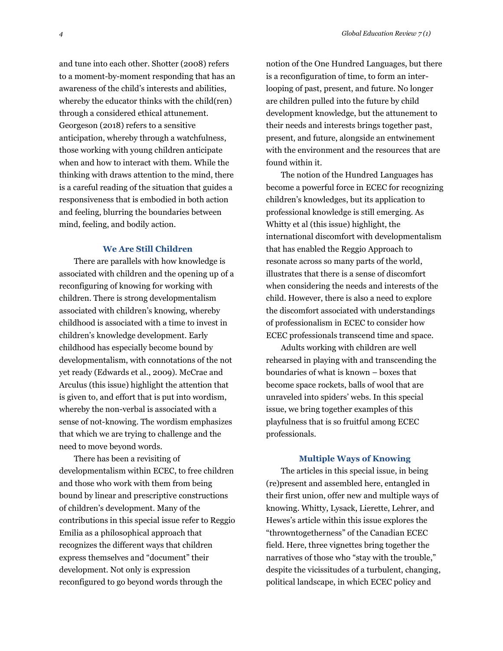and tune into each other. Shotter (2008) refers to a moment-by-moment responding that has an awareness of the child's interests and abilities, whereby the educator thinks with the child(ren) through a considered ethical attunement. Georgeson (2018) refers to a sensitive anticipation, whereby through a watchfulness, those working with young children anticipate when and how to interact with them. While the thinking with draws attention to the mind, there is a careful reading of the situation that guides a responsiveness that is embodied in both action and feeling, blurring the boundaries between mind, feeling, and bodily action.

#### **We Are Still Children**

There are parallels with how knowledge is associated with children and the opening up of a reconfiguring of knowing for working with children. There is strong developmentalism associated with children's knowing, whereby childhood is associated with a time to invest in children's knowledge development. Early childhood has especially become bound by developmentalism, with connotations of the not yet ready (Edwards et al., 2009). McCrae and Arculus (this issue) highlight the attention that is given to, and effort that is put into wordism, whereby the non-verbal is associated with a sense of not-knowing. The wordism emphasizes that which we are trying to challenge and the need to move beyond words.

There has been a revisiting of developmentalism within ECEC, to free children and those who work with them from being bound by linear and prescriptive constructions of children's development. Many of the contributions in this special issue refer to Reggio Emilia as a philosophical approach that recognizes the different ways that children express themselves and "document" their development. Not only is expression reconfigured to go beyond words through the

notion of the One Hundred Languages, but there is a reconfiguration of time, to form an interlooping of past, present, and future. No longer are children pulled into the future by child development knowledge, but the attunement to their needs and interests brings together past, present, and future, alongside an entwinement with the environment and the resources that are found within it.

The notion of the Hundred Languages has become a powerful force in ECEC for recognizing children's knowledges, but its application to professional knowledge is still emerging. As Whitty et al (this issue) highlight, the international discomfort with developmentalism that has enabled the Reggio Approach to resonate across so many parts of the world, illustrates that there is a sense of discomfort when considering the needs and interests of the child. However, there is also a need to explore the discomfort associated with understandings of professionalism in ECEC to consider how ECEC professionals transcend time and space.

Adults working with children are well rehearsed in playing with and transcending the boundaries of what is known – boxes that become space rockets, balls of wool that are unraveled into spiders' webs. In this special issue, we bring together examples of this playfulness that is so fruitful among ECEC professionals.

#### **Multiple Ways of Knowing**

The articles in this special issue, in being (re)present and assembled here, entangled in their first union, offer new and multiple ways of knowing. Whitty, Lysack, Lierette, Lehrer, and Hewes's article within this issue explores the "throwntogetherness" of the Canadian ECEC field. Here, three vignettes bring together the narratives of those who "stay with the trouble," despite the vicissitudes of a turbulent, changing, political landscape, in which ECEC policy and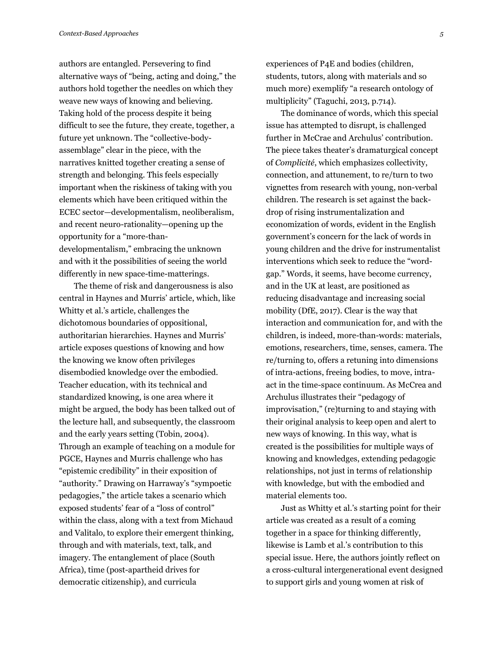authors are entangled. Persevering to find alternative ways of "being, acting and doing," the authors hold together the needles on which they weave new ways of knowing and believing. Taking hold of the process despite it being difficult to see the future, they create, together, a future yet unknown. The "collective-bodyassemblage" clear in the piece, with the narratives knitted together creating a sense of strength and belonging. This feels especially important when the riskiness of taking with you elements which have been critiqued within the ECEC sector—developmentalism, neoliberalism, and recent neuro-rationality—opening up the opportunity for a "more-thandevelopmentalism," embracing the unknown and with it the possibilities of seeing the world differently in new space-time-matterings.

The theme of risk and dangerousness is also central in Haynes and Murris' article, which, like Whitty et al.'s article, challenges the dichotomous boundaries of oppositional, authoritarian hierarchies. Haynes and Murris' article exposes questions of knowing and how the knowing we know often privileges disembodied knowledge over the embodied. Teacher education, with its technical and standardized knowing, is one area where it might be argued, the body has been talked out of the lecture hall, and subsequently, the classroom and the early years setting (Tobin, 2004). Through an example of teaching on a module for PGCE, Haynes and Murris challenge who has "epistemic credibility" in their exposition of "authority." Drawing on Harraway's "sympoetic pedagogies," the article takes a scenario which exposed students' fear of a "loss of control" within the class, along with a text from Michaud and Valitalo, to explore their emergent thinking, through and with materials, text, talk, and imagery. The entanglement of place (South Africa), time (post-apartheid drives for democratic citizenship), and curricula

experiences of P4E and bodies (children, students, tutors, along with materials and so much more) exemplify "a research ontology of multiplicity" (Taguchi, 2013, p.714).

The dominance of words, which this special issue has attempted to disrupt, is challenged further in McCrae and Archulus' contribution. The piece takes theater's dramaturgical concept of *Complicité*, which emphasizes collectivity, connection, and attunement, to re/turn to two vignettes from research with young, non-verbal children. The research is set against the backdrop of rising instrumentalization and economization of words, evident in the English government's concern for the lack of words in young children and the drive for instrumentalist interventions which seek to reduce the "wordgap." Words, it seems, have become currency, and in the UK at least, are positioned as reducing disadvantage and increasing social mobility (DfE, 2017). Clear is the way that interaction and communication for, and with the children, is indeed, more-than-words: materials, emotions, researchers, time, senses, camera. The re/turning to, offers a retuning into dimensions of intra-actions, freeing bodies, to move, intraact in the time-space continuum. As McCrea and Archulus illustrates their "pedagogy of improvisation," (re)turning to and staying with their original analysis to keep open and alert to new ways of knowing. In this way, what is created is the possibilities for multiple ways of knowing and knowledges, extending pedagogic relationships, not just in terms of relationship with knowledge, but with the embodied and material elements too.

Just as Whitty et al.'s starting point for their article was created as a result of a coming together in a space for thinking differently, likewise is Lamb et al.'s contribution to this special issue. Here, the authors jointly reflect on a cross-cultural intergenerational event designed to support girls and young women at risk of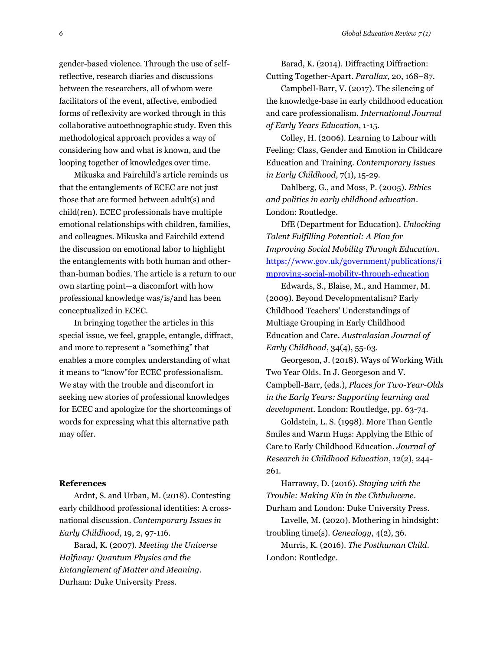gender-based violence. Through the use of selfreflective, research diaries and discussions between the researchers, all of whom were facilitators of the event, affective, embodied forms of reflexivity are worked through in this collaborative autoethnographic study. Even this methodological approach provides a way of considering how and what is known, and the looping together of knowledges over time.

Mikuska and Fairchild's article reminds us that the entanglements of ECEC are not just those that are formed between adult(s) and child(ren). ECEC professionals have multiple emotional relationships with children, families, and colleagues. Mikuska and Fairchild extend the discussion on emotional labor to highlight the entanglements with both human and otherthan-human bodies. The article is a return to our own starting point—a discomfort with how professional knowledge was/is/and has been conceptualized in ECEC.

In bringing together the articles in this special issue, we feel, grapple, entangle, diffract, and more to represent a "something" that enables a more complex understanding of what it means to "know"for ECEC professionalism. We stay with the trouble and discomfort in seeking new stories of professional knowledges for ECEC and apologize for the shortcomings of words for expressing what this alternative path may offer.

#### **References**

Ardnt, S. and Urban, M. (2018). Contesting early childhood professional identities: A crossnational discussion. *Contemporary Issues in Early Childhood*, 19, 2, 97-116.

Barad, K. (2007). *Meeting the Universe Halfway: Quantum Physics and the Entanglement of Matter and Meaning*. Durham: Duke University Press.

Barad, K. (2014). Diffracting Diffraction: Cutting Together-Apart. *Parallax,* 20, 168–87.

Campbell-Barr, V. (2017). The silencing of the knowledge-base in early childhood education and care professionalism. *International Journal of Early Years Education*, 1-15.

Colley, H. (2006). Learning to Labour with Feeling: Class, Gender and Emotion in Childcare Education and Training. *Contemporary Issues in Early Childhood*, 7(1), 15-29.

Dahlberg, G., and Moss, P. (2005). *Ethics and politics in early childhood education*. London: Routledge.

DfE (Department for Education). *Unlocking Talent Fulfilling Potential: A Plan for Improving Social Mobility Through Education*. [https://www.gov.uk/government/publications/i](https://www.gov.uk/government/publications/improving-social-mobility-through-education) [mproving-social-mobility-through-education](https://www.gov.uk/government/publications/improving-social-mobility-through-education)

Edwards, S., Blaise, M., and Hammer, M. (2009). Beyond Developmentalism? Early Childhood Teachers' Understandings of Multiage Grouping in Early Childhood Education and Care. *Australasian Journal of Early Childhood*, 34(4), 55-63.

Georgeson, J. (2018). Ways of Working With Two Year Olds. In J. Georgeson and V. Campbell-Barr, (eds.), *Places for Two-Year-Olds in the Early Years: Supporting learning and development.* London: Routledge, pp. 63-74.

Goldstein, L. S. (1998). More Than Gentle Smiles and Warm Hugs: Applying the Ethic of Care to Early Childhood Education. *Journal of Research in Childhood Education*, 12(2), 244- 261.

Harraway, D. (2016). *Staying with the Trouble: Making Kin in the Chthulucene*. Durham and London: Duke University Press.

Lavelle, M. (2020). Mothering in hindsight: troubling time(s). *Genealogy*, 4(2), 36.

Murris, K. (2016). *The Posthuman Child*. London: Routledge.